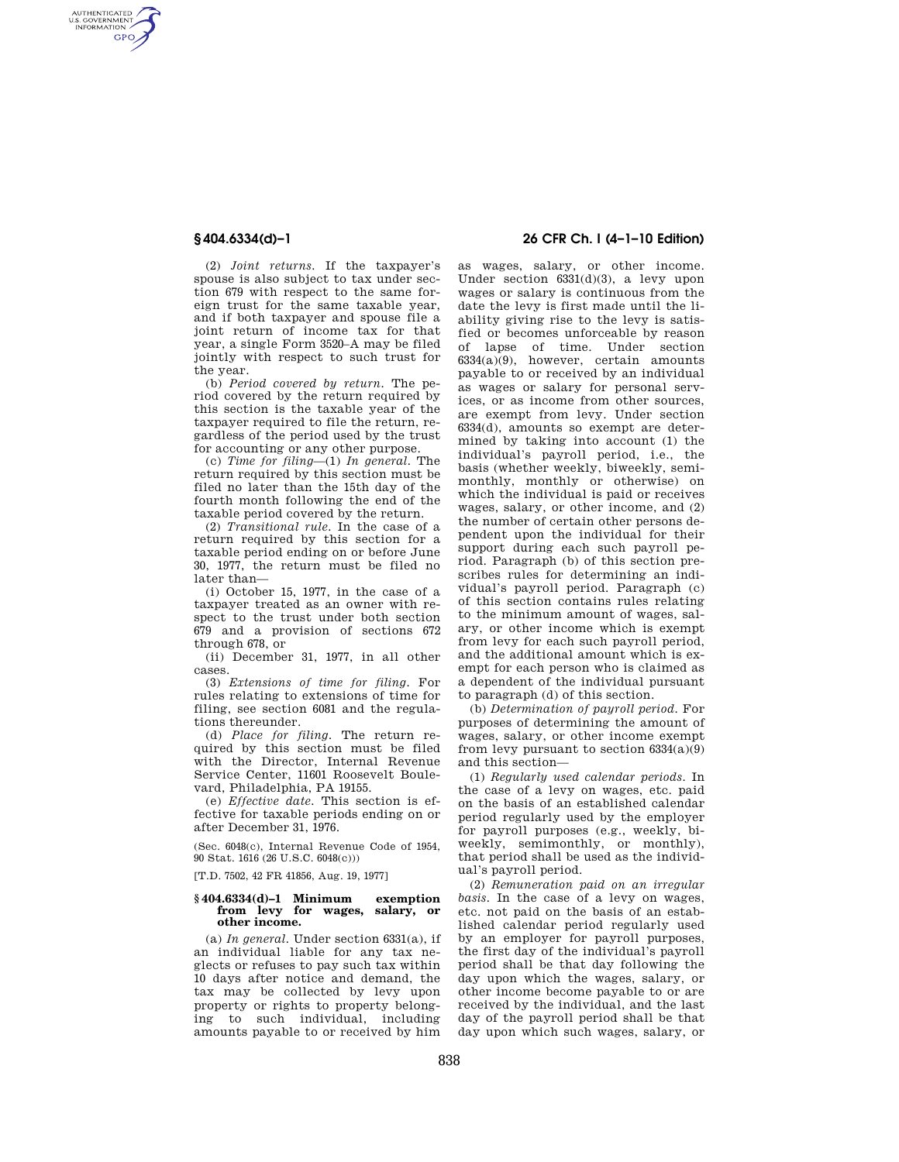AUTHENTICATED<br>U.S. GOVERNMENT<br>INFORMATION **GPO** 

> (2) *Joint returns.* If the taxpayer's spouse is also subject to tax under section 679 with respect to the same foreign trust for the same taxable year, and if both taxpayer and spouse file a joint return of income tax for that year, a single Form 3520–A may be filed jointly with respect to such trust for the year.

> (b) *Period covered by return.* The period covered by the return required by this section is the taxable year of the taxpayer required to file the return, regardless of the period used by the trust for accounting or any other purpose.

> (c) *Time for filing*—(1) *In general.* The return required by this section must be filed no later than the 15th day of the fourth month following the end of the taxable period covered by the return.

> (2) *Transitional rule.* In the case of a return required by this section for a taxable period ending on or before June 30, 1977, the return must be filed no later than—

> (i) October 15, 1977, in the case of a taxpayer treated as an owner with respect to the trust under both section 679 and a provision of sections 672 through 678, or

> (ii) December 31, 1977, in all other cases.

> (3) *Extensions of time for filing.* For rules relating to extensions of time for filing, see section 6081 and the regulations thereunder.

> (d) *Place for filing.* The return required by this section must be filed with the Director, Internal Revenue Service Center, 11601 Roosevelt Boulevard, Philadelphia, PA 19155.

(e) *Effective date.* This section is effective for taxable periods ending on or after December 31, 1976.

(Sec. 6048(c), Internal Revenue Code of 1954, 90 Stat. 1616 (26 U.S.C. 6048(c)))

[T.D. 7502, 42 FR 41856, Aug. 19, 1977]

## **§ 404.6334(d)–1 Minimum exemption from levy for wages, salary, or other income.**

(a) *In general.* Under section 6331(a), if an individual liable for any tax neglects or refuses to pay such tax within 10 days after notice and demand, the tax may be collected by levy upon property or rights to property belonging to such individual, including amounts payable to or received by him

# **§ 404.6334(d)–1 26 CFR Ch. I (4–1–10 Edition)**

as wages, salary, or other income. Under section 6331(d)(3), a levy upon wages or salary is continuous from the date the levy is first made until the liability giving rise to the levy is satisfied or becomes unforceable by reason of lapse of time. Under section 6334(a)(9), however, certain amounts payable to or received by an individual as wages or salary for personal services, or as income from other sources, are exempt from levy. Under section 6334(d), amounts so exempt are determined by taking into account (1) the individual's payroll period, i.e., the basis (whether weekly, biweekly, semimonthly, monthly or otherwise) on which the individual is paid or receives wages, salary, or other income, and (2) the number of certain other persons dependent upon the individual for their support during each such payroll period. Paragraph (b) of this section prescribes rules for determining an individual's payroll period. Paragraph (c) of this section contains rules relating to the minimum amount of wages, salary, or other income which is exempt from levy for each such payroll period, and the additional amount which is exempt for each person who is claimed as a dependent of the individual pursuant to paragraph (d) of this section.

(b) *Determination of payroll period.* For purposes of determining the amount of wages, salary, or other income exempt from levy pursuant to section  $6334(a)(9)$ and this section—

(1) *Regularly used calendar periods.* In the case of a levy on wages, etc. paid on the basis of an established calendar period regularly used by the employer for payroll purposes (e.g., weekly, biweekly, semimonthly, or monthly), that period shall be used as the individual's payroll period.

(2) *Remuneration paid on an irregular basis.* In the case of a levy on wages, etc. not paid on the basis of an established calendar period regularly used by an employer for payroll purposes, the first day of the individual's payroll period shall be that day following the day upon which the wages, salary, or other income become payable to or are received by the individual, and the last day of the payroll period shall be that day upon which such wages, salary, or